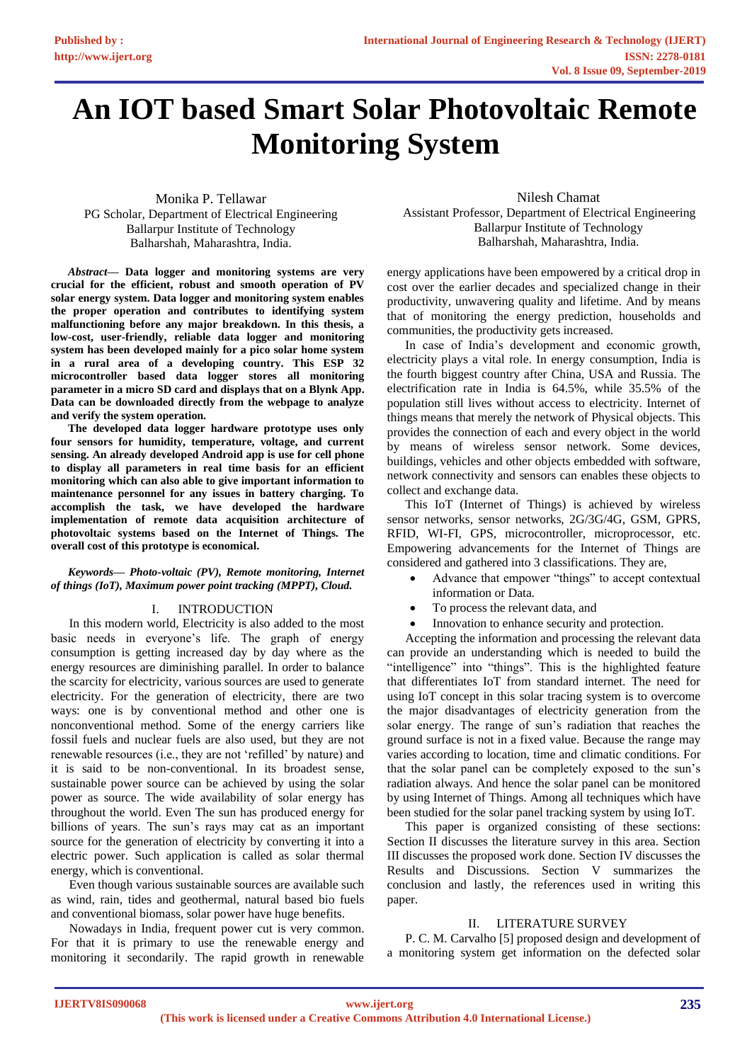# **An IOT based Smart Solar Photovoltaic Remote Monitoring System**

Monika P. Tellawar PG Scholar, Department of Electrical Engineering Ballarpur Institute of Technology Balharshah, Maharashtra, India.

*Abstract***— Data logger and monitoring systems are very crucial for the efficient, robust and smooth operation of PV solar energy system. Data logger and monitoring system enables the proper operation and contributes to identifying system malfunctioning before any major breakdown. In this thesis, a low-cost, user-friendly, reliable data logger and monitoring system has been developed mainly for a pico solar home system in a rural area of a developing country. This ESP 32 microcontroller based data logger stores all monitoring parameter in a micro SD card and displays that on a Blynk App. Data can be downloaded directly from the webpage to analyze and verify the system operation.** 

**The developed data logger hardware prototype uses only four sensors for humidity, temperature, voltage, and current sensing. An already developed Android app is use for cell phone to display all parameters in real time basis for an efficient monitoring which can also able to give important information to maintenance personnel for any issues in battery charging. To accomplish the task, we have developed the hardware implementation of remote data acquisition architecture of photovoltaic systems based on the Internet of Things. The overall cost of this prototype is economical.**

#### *Keywords— Photo-voltaic (PV), Remote monitoring, Internet of things (IoT), Maximum power point tracking (MPPT), Cloud.*

# I. INTRODUCTION

In this modern world, Electricity is also added to the most basic needs in everyone's life. The graph of energy consumption is getting increased day by day where as the energy resources are diminishing parallel. In order to balance the scarcity for electricity, various sources are used to generate electricity. For the generation of electricity, there are two ways: one is by conventional method and other one is nonconventional method. Some of the energy carriers like fossil fuels and nuclear fuels are also used, but they are not renewable resources (i.e., they are not 'refilled' by nature) and it is said to be non-conventional. In its broadest sense, sustainable power source can be achieved by using the solar power as source. The wide availability of solar energy has throughout the world. Even The sun has produced energy for billions of years. The sun's rays may cat as an important source for the generation of electricity by converting it into a electric power. Such application is called as solar thermal energy, which is conventional.

Even though various sustainable sources are available such as wind, rain, tides and geothermal, natural based bio fuels and conventional biomass, solar power have huge benefits.

Nowadays in India, frequent power cut is very common. For that it is primary to use the renewable energy and monitoring it secondarily. The rapid growth in renewable

Nilesh Chamat Assistant Professor, Department of Electrical Engineering Ballarpur Institute of Technology Balharshah, Maharashtra, India.

energy applications have been empowered by a critical drop in cost over the earlier decades and specialized change in their productivity, unwavering quality and lifetime. And by means that of monitoring the energy prediction, households and communities, the productivity gets increased.

In case of India's development and economic growth, electricity plays a vital role. In energy consumption, India is the fourth biggest country after China, USA and Russia. The electrification rate in India is 64.5%, while 35.5% of the population still lives without access to electricity. Internet of things means that merely the network of Physical objects. This provides the connection of each and every object in the world by means of wireless sensor network. Some devices, buildings, vehicles and other objects embedded with software, network connectivity and sensors can enables these objects to collect and exchange data.

This IoT (Internet of Things) is achieved by wireless sensor networks, sensor networks, 2G/3G/4G, GSM, GPRS, RFID, WI-FI, GPS, microcontroller, microprocessor, etc. Empowering advancements for the Internet of Things are considered and gathered into 3 classifications. They are,

- Advance that empower "things" to accept contextual information or Data.
- To process the relevant data, and
- Innovation to enhance security and protection.

Accepting the information and processing the relevant data can provide an understanding which is needed to build the "intelligence" into "things". This is the highlighted feature that differentiates IoT from standard internet. The need for using IoT concept in this solar tracing system is to overcome the major disadvantages of electricity generation from the solar energy. The range of sun's radiation that reaches the ground surface is not in a fixed value. Because the range may varies according to location, time and climatic conditions. For that the solar panel can be completely exposed to the sun's radiation always. And hence the solar panel can be monitored by using Internet of Things. Among all techniques which have been studied for the solar panel tracking system by using IoT.

This paper is organized consisting of these sections: Section II discusses the literature survey in this area. Section III discusses the proposed work done. Section IV discusses the Results and Discussions. Section V summarizes the conclusion and lastly, the references used in writing this paper.

# II. LITERATURE SURVEY

P. C. M. Carvalho [5] proposed design and development of a monitoring system get information on the defected solar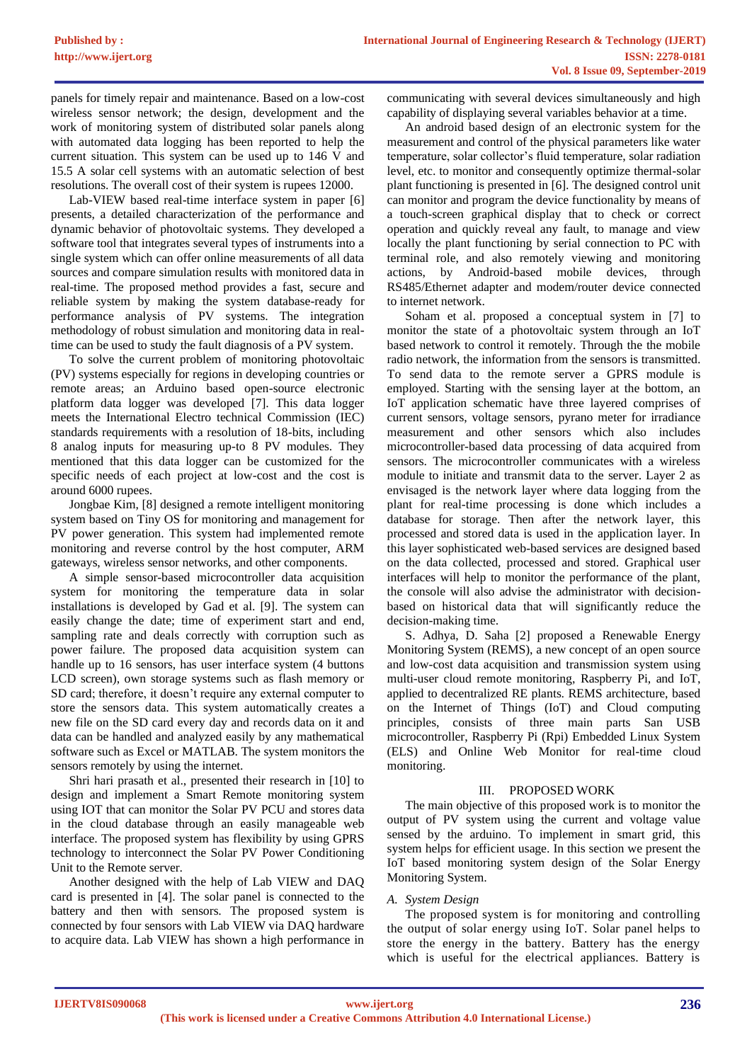panels for timely repair and maintenance. Based on a low-cost wireless sensor network; the design, development and the work of monitoring system of distributed solar panels along with automated data logging has been reported to help the current situation. This system can be used up to 146 V and 15.5 A solar cell systems with an automatic selection of best resolutions. The overall cost of their system is rupees 12000.

Lab-VIEW based real-time interface system in paper [6] presents, a detailed characterization of the performance and dynamic behavior of photovoltaic systems. They developed a software tool that integrates several types of instruments into a single system which can offer online measurements of all data sources and compare simulation results with monitored data in real-time. The proposed method provides a fast, secure and reliable system by making the system database-ready for performance analysis of PV systems. The integration methodology of robust simulation and monitoring data in realtime can be used to study the fault diagnosis of a PV system.

To solve the current problem of monitoring photovoltaic (PV) systems especially for regions in developing countries or remote areas; an Arduino based open-source electronic platform data logger was developed [7]. This data logger meets the International Electro technical Commission (IEC) standards requirements with a resolution of 18-bits, including 8 analog inputs for measuring up-to 8 PV modules. They mentioned that this data logger can be customized for the specific needs of each project at low-cost and the cost is around 6000 rupees.

Jongbae Kim, [8] designed a remote intelligent monitoring system based on Tiny OS for monitoring and management for PV power generation. This system had implemented remote monitoring and reverse control by the host computer, ARM gateways, wireless sensor networks, and other components.

A simple sensor-based microcontroller data acquisition system for monitoring the temperature data in solar installations is developed by Gad et al. [9]. The system can easily change the date; time of experiment start and end, sampling rate and deals correctly with corruption such as power failure. The proposed data acquisition system can handle up to 16 sensors, has user interface system (4 buttons LCD screen), own storage systems such as flash memory or SD card; therefore, it doesn't require any external computer to store the sensors data. This system automatically creates a new file on the SD card every day and records data on it and data can be handled and analyzed easily by any mathematical software such as Excel or MATLAB. The system monitors the sensors remotely by using the internet.

Shri hari prasath et al., presented their research in [10] to design and implement a Smart Remote monitoring system using IOT that can monitor the Solar PV PCU and stores data in the cloud database through an easily manageable web interface. The proposed system has flexibility by using GPRS technology to interconnect the Solar PV Power Conditioning Unit to the Remote server.

Another designed with the help of Lab VIEW and DAQ card is presented in [4]. The solar panel is connected to the battery and then with sensors. The proposed system is connected by four sensors with Lab VIEW via DAQ hardware to acquire data. Lab VIEW has shown a high performance in

communicating with several devices simultaneously and high capability of displaying several variables behavior at a time.

An android based design of an electronic system for the measurement and control of the physical parameters like water temperature, solar collector's fluid temperature, solar radiation level, etc. to monitor and consequently optimize thermal-solar plant functioning is presented in [6]. The designed control unit can monitor and program the device functionality by means of a touch-screen graphical display that to check or correct operation and quickly reveal any fault, to manage and view locally the plant functioning by serial connection to PC with terminal role, and also remotely viewing and monitoring actions, by Android-based mobile devices, through RS485/Ethernet adapter and modem/router device connected to internet network.

Soham et al. proposed a conceptual system in [7] to monitor the state of a photovoltaic system through an IoT based network to control it remotely. Through the the mobile radio network, the information from the sensors is transmitted. To send data to the remote server a GPRS module is employed. Starting with the sensing layer at the bottom, an IoT application schematic have three layered comprises of current sensors, voltage sensors, pyrano meter for irradiance measurement and other sensors which also includes microcontroller-based data processing of data acquired from sensors. The microcontroller communicates with a wireless module to initiate and transmit data to the server. Layer 2 as envisaged is the network layer where data logging from the plant for real-time processing is done which includes a database for storage. Then after the network layer, this processed and stored data is used in the application layer. In this layer sophisticated web-based services are designed based on the data collected, processed and stored. Graphical user interfaces will help to monitor the performance of the plant, the console will also advise the administrator with decisionbased on historical data that will significantly reduce the decision-making time.

S. Adhya, D. Saha [2] proposed a Renewable Energy Monitoring System (REMS), a new concept of an open source and low-cost data acquisition and transmission system using multi-user cloud remote monitoring, Raspberry Pi, and IoT, applied to decentralized RE plants. REMS architecture, based on the Internet of Things (IoT) and Cloud computing principles, consists of three main parts San USB microcontroller, Raspberry Pi (Rpi) Embedded Linux System (ELS) and Online Web Monitor for real-time cloud monitoring.

# III. PROPOSED WORK

The main objective of this proposed work is to monitor the output of PV system using the current and voltage value sensed by the arduino. To implement in smart grid, this system helps for efficient usage. In this section we present the IoT based monitoring system design of the Solar Energy Monitoring System.

# *A. System Design*

The proposed system is for monitoring and controlling the output of solar energy using IoT. Solar panel helps to store the energy in the battery. Battery has the energy which is useful for the electrical appliances. Battery is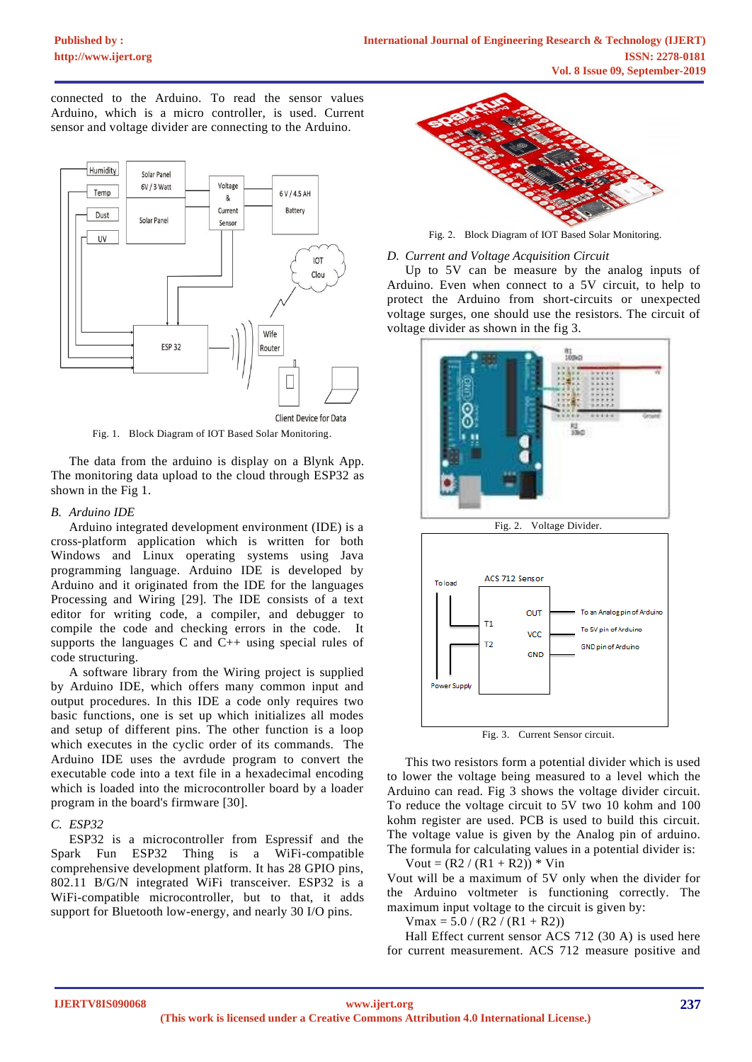connected to the Arduino. To read the sensor values Arduino, which is a micro controller, is used. Current sensor and voltage divider are connecting to the Arduino.



Fig. 1. Block Diagram of IOT Based Solar Monitoring.

The data from the arduino is display on a Blynk App. The monitoring data upload to the cloud through ESP32 as shown in the Fig 1.

# *B. Arduino IDE*

Arduino integrated development environment (IDE) is a cross-platform application which is written for both Windows and Linux operating systems using Java programming language. Arduino IDE is developed by Arduino and it originated from the IDE for the languages Processing and Wiring [29]. The IDE consists of a text editor for writing code, a compiler, and debugger to compile the code and checking errors in the code. It supports the languages C and C++ using special rules of code structuring.

A software library from the Wiring project is supplied by Arduino IDE, which offers many common input and output procedures. In this IDE a code only requires two basic functions, one is set up which initializes all modes and setup of different pins. The other function is a loop which executes in the cyclic order of its commands. The Arduino IDE uses the avrdude program to convert the executable code into a text file in a hexadecimal encoding which is loaded into the microcontroller board by a loader program in the board's firmware [30].

# *C. ESP32*

ESP32 is a microcontroller from Espressif and the Spark Fun ESP32 Thing is a WiFi-compatible comprehensive development platform. It has 28 GPIO pins, 802.11 B/G/N integrated WiFi transceiver. ESP32 is a WiFi-compatible microcontroller, but to that, it adds support for Bluetooth low-energy, and nearly 30 I/O pins.



Fig. 2. Block Diagram of IOT Based Solar Monitoring.

#### *D. Current and Voltage Acquisition Circuit*

Up to 5V can be measure by the analog inputs of Arduino. Even when connect to a 5V circuit, to help to protect the Arduino from short-circuits or unexpected voltage surges, one should use the resistors. The circuit of voltage divider as shown in the fig 3.



GND

Fig. 3. Current Sensor circuit.

This two resistors form a potential divider which is used to lower the voltage being measured to a level which the Arduino can read. Fig 3 shows the voltage divider circuit. To reduce the voltage circuit to 5V two 10 kohm and 100 kohm register are used. PCB is used to build this circuit. The voltage value is given by the Analog pin of arduino. The formula for calculating values in a potential divider is:

Vout =  $(R2 / (R1 + R2))$  \* Vin

Pov ver Suppl

Vout will be a maximum of 5V only when the divider for the Arduino voltmeter is functioning correctly. The maximum input voltage to the circuit is given by:

 $V$ max = 5.0 / (R2 / (R1 + R2))

Hall Effect current sensor ACS 712 (30 A) is used here for current measurement. ACS 712 measure positive and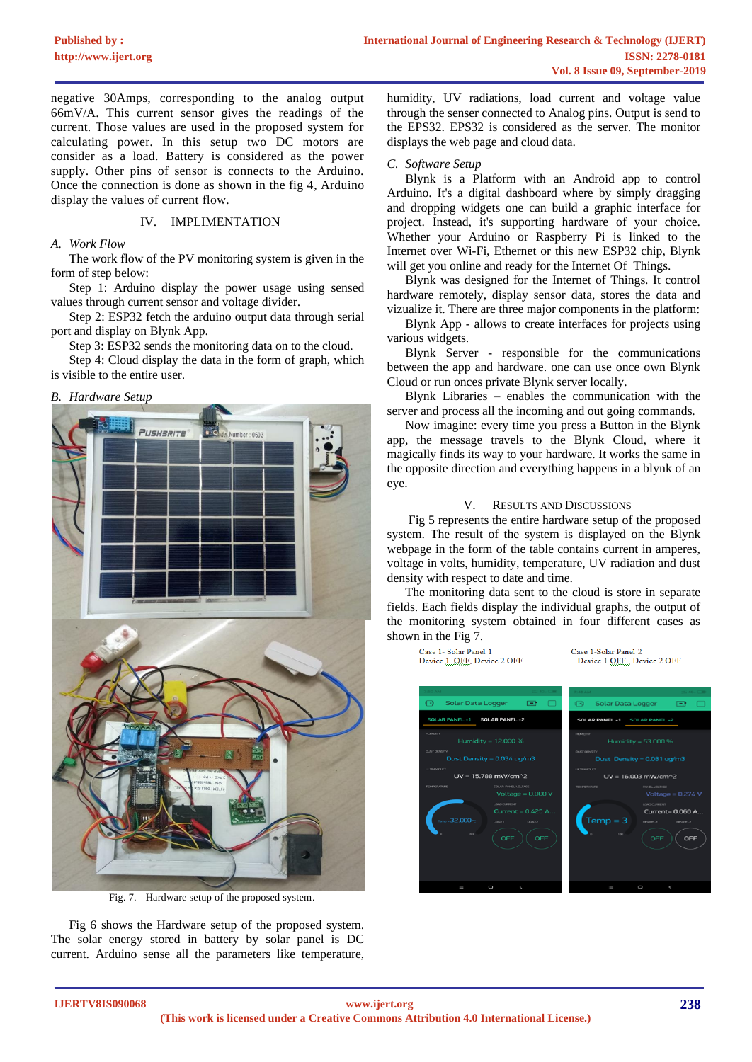negative 30Amps, corresponding to the analog output 66mV/A. This current sensor gives the readings of the current. Those values are used in the proposed system for calculating power. In this setup two DC motors are consider as a load. Battery is considered as the power supply. Other pins of sensor is connects to the Arduino. Once the connection is done as shown in the fig 4, Arduino display the values of current flow.

#### IV. IMPLIMENTATION

#### *A. Work Flow*

The work flow of the PV monitoring system is given in the form of step below:

Step 1: Arduino display the power usage using sensed values through current sensor and voltage divider.

Step 2: ESP32 fetch the arduino output data through serial port and display on Blynk App.

Step 3: ESP32 sends the monitoring data on to the cloud.

Step 4: Cloud display the data in the form of graph, which is visible to the entire user.

#### *B. Hardware Setup*



Fig. 7. Hardware setup of the proposed system.

Fig 6 shows the Hardware setup of the proposed system. The solar energy stored in battery by solar panel is DC current. Arduino sense all the parameters like temperature, humidity, UV radiations, load current and voltage value through the senser connected to Analog pins. Output is send to the EPS32. EPS32 is considered as the server. The monitor displays the web page and cloud data.

#### *C. Software Setup*

Blynk is a Platform with an Android app to control Arduino. It's a digital dashboard where by simply dragging and dropping widgets one can build a graphic interface for project. Instead, it's supporting hardware of your choice. Whether your Arduino or Raspberry Pi is linked to the Internet over Wi-Fi, Ethernet or this new ESP32 chip, Blynk will get you online and ready for the Internet Of Things.

Blynk was designed for the Internet of Things. It control hardware remotely, display sensor data, stores the data and vizualize it. There are three major components in the platform:

Blynk App - allows to create interfaces for projects using various widgets.

Blynk Server - responsible for the communications between the app and hardware. one can use once own Blynk Cloud or run onces private Blynk server locally.

Blynk Libraries – enables the communication with the server and process all the incoming and out going commands.

Now imagine: every time you press a Button in the Blynk app, the message travels to the Blynk Cloud, where it magically finds its way to your hardware. It works the same in the opposite direction and everything happens in a blynk of an eye.

#### V. RESULTS AND DISCUSSIONS

Fig 5 represents the entire hardware setup of the proposed system. The result of the system is displayed on the Blynk webpage in the form of the table contains current in amperes, voltage in volts, humidity, temperature, UV radiation and dust density with respect to date and time.

The monitoring data sent to the cloud is store in separate fields. Each fields display the individual graphs, the output of the monitoring system obtained in four different cases as shown in the Fig 7.

Case 1-Solar Panel 2

Device 1 OFF., Device 2 OFF

Case 1- Solar Panel 1

Device 1 OFF, Device 2 OFF.

solar Data Logger  $\overline{1}$ Solar Data Logge **CENT ILAR PANEL -1 SOLAR PANEL -2 DLAR PANEL -1** SOLAR PANEL -2 Humidity =  $12.000$  % Humidity =  $53.000%$ .<br>Dust Density = 0.034 ug/m.  $UV = 15.788$  mW/cm^2  $UV = 16.003 \, \text{mW/cm}^2$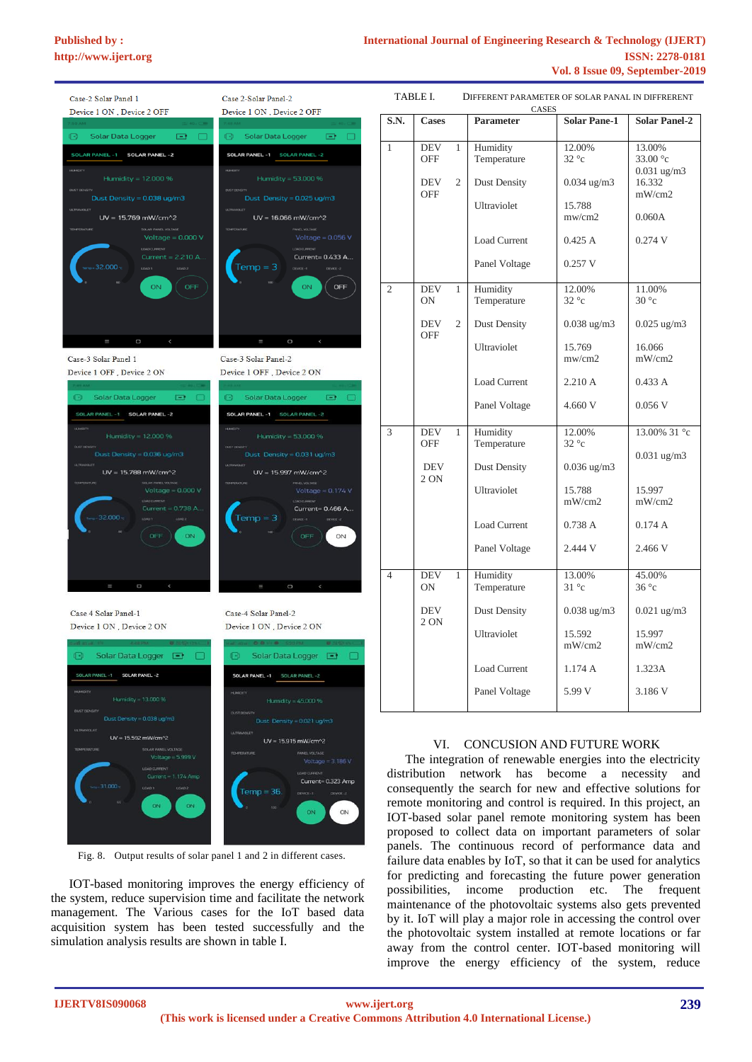TABLE I. DIFFERENT PARAMETER OF SOLAR PANAL IN DIFFRERENT

| Case-2 Solar Panel 1                                             | Case 2-Solar Panel-2                                                        |  |  |
|------------------------------------------------------------------|-----------------------------------------------------------------------------|--|--|
|                                                                  |                                                                             |  |  |
| Device 1 ON, Device 2 OFF                                        | Device 1 ON, Device 2 OFF                                                   |  |  |
| G)<br>Solar Data Logger<br>$-1$                                  | $\mathbb{R}$<br>Solar Data Logger<br>E.                                     |  |  |
| SOLAR PANEL -1 SOLAR PANEL -2                                    | SOLAR PANEL -1 SOLAR PANEL -2                                               |  |  |
| <b>HUMOTY</b><br>Humidity = 12.000 %                             | <b>HJMOTY</b><br>Humidity = 53.000 %                                        |  |  |
| <b>OUST DENSITY</b><br>Dust Density = $0.038$ ug/m3              | <b>DUST DENSITY</b><br>Dust Density = $0.025$ ug/m3                         |  |  |
| <b>ULTRAVIOLET</b><br>$UV = 15.769$ mW/cm <sup>2</sup>           | <b>ULTRAVIOLET</b><br>$UV = 16.066$ mW/cm <sup><math>\text{A}2</math></sup> |  |  |
| <b>TEMPERATURE</b><br>SOLAR PANEL VOLTAGE<br>Voltage = $0.000V$  | <b>TEMPERATURE</b><br>Voltage = $0.056$ V                                   |  |  |
| LOAD CURRENT<br>Current = 2.210 A                                | LOAD OURRENT<br>Current= 0.433 A                                            |  |  |
| $-32.000 \times$<br>LOMD2<br>10401                               | $Temp = 3$<br>$0$ EVKE-1<br>DEVICE-2                                        |  |  |
| ON:<br><b>OFF</b>                                                | ON.<br>OFF                                                                  |  |  |
| Ш<br>$\Box$<br>$\prec$                                           | Ш<br>O<br>$\prec$                                                           |  |  |
| Case-3 Solar Panel 1                                             | Case-3 Solar Panel-2                                                        |  |  |
| Device 1 OFF, Device 2 ON                                        | Device 1 OFF, Device 2 ON                                                   |  |  |
| $\odot$<br>Solar Data Logger<br>$\Box$                           | $\bigoplus$<br>Solar Data Logger<br>$\Box$                                  |  |  |
| SOLAR PANEL -1 SOLAR PANEL -2                                    | SOLAR PANEL -1 SOLAR PANEL -2                                               |  |  |
| <b>KARDITY</b><br>Humidity = 12.000 %                            | <b>HUMBER</b><br>Humidity = 53,000 %                                        |  |  |
| Dust Density = 0.036 ug/m3                                       | <b>DUST DENSITY</b><br>Dust Density = $0.031$ ug/m3                         |  |  |
| $UV = 15.788$ mW/cm^2                                            | LA TRAVAGLET<br>UV = 15.997 mW/cm^2                                         |  |  |
|                                                                  | <b>PANEL VOLTAGE</b><br><b>TERRY ENVITERE</b>                               |  |  |
| Voltage $= 0.000 V$<br>LOAD CLARES OF                            | Voltage = $0.174$ V<br>LOAD CURRENT                                         |  |  |
| Current = $0.738$ A<br>32000<br>LOAD 2                           | Current= 0.466 A<br>$Temp = 3$<br>$m \times n$<br>DONCE < 2                 |  |  |
|                                                                  |                                                                             |  |  |
| OFF<br>ON<br>$\sim$                                              | OFF<br>ON                                                                   |  |  |
| O                                                                | $\Box$<br>$\overline{\phantom{a}}$                                          |  |  |
| Case 4 Solar Panel-1                                             | Case-4 Solar Panel-2                                                        |  |  |
| Device 1 ON, Device 2 ON                                         | Device 1 ON, Device 2 ON                                                    |  |  |
| 吧<br>Solar Data Logger<br>▣                                      | 归<br>Solar Data Logger<br>L                                                 |  |  |
| SOLAR PANEL -1<br>SOLAR PANEL -2                                 | <b>SOLAR PANEL -1</b><br>SOLAR PANEL -2                                     |  |  |
| <b>HUMIDITY</b><br>Humidity = 13.000 %                           | <b>HUMOITY</b><br>Humidity = 45.000 %                                       |  |  |
| <b>DUST DENSITY</b><br>Dust Density = 0.038 ug/m3                | <b>DUST DENSITY</b><br>Dust Density = 0.021 ug/m3                           |  |  |
| <b>ULTRAVIOLET</b>                                               | <b>ULTRAVIOLET</b>                                                          |  |  |
| UV = 15.592 mW/cm^2<br><b>TEMPERATURE</b><br>SOLAR PANEL VOLTAGE | UV = 15.915 mW/cm^2<br>TEMPERATURE<br>PANEL VOLTAGE                         |  |  |
| Voltage = $5.999$ V<br>LDAD CURRENT                              | Voltage = $3.186$ V                                                         |  |  |
| Current = 1.174 Amp<br>31,000                                    | LOAD CURRENT<br>Current= 0.323 Amp                                          |  |  |
| LOAD 1<br>LOAD 2                                                 | Temp = 36.<br>T-33N30<br>DEVICE-2                                           |  |  |
| ON<br>ON                                                         | 100<br>ON<br>ON                                                             |  |  |

Fig. 8. Output results of solar panel 1 and 2 in different cases.

IOT-based monitoring improves the energy efficiency of the system, reduce supervision time and facilitate the network management. The Various cases for the IoT based data acquisition system has been tested successfully and the simulation analysis results are shown in table I.

| CASES          |                          |                |                         |                         |                                                 |  |
|----------------|--------------------------|----------------|-------------------------|-------------------------|-------------------------------------------------|--|
| S.N.           | <b>Cases</b>             |                | <b>Parameter</b>        | <b>Solar Pane-1</b>     | <b>Solar Panel-2</b>                            |  |
| 1              | <b>DEV</b><br><b>OFF</b> | 1              | Humidity<br>Temperature | 12.00%<br>$32^{\circ}c$ | 13.00%<br>33.00 $\degree$ c<br>$0.031$ ug/m $3$ |  |
|                | DEV<br><b>OFF</b>        | $\overline{2}$ | Dust Density            | $0.034$ ug/m $3$        | 16.332<br>mW/cm2                                |  |
|                |                          |                | Ultraviolet             | 15.788<br>mw/cm2        | 0.060A                                          |  |
|                |                          |                | <b>Load Current</b>     | 0.425A                  | 0.274V                                          |  |
|                |                          |                | Panel Voltage           | 0.257 V                 |                                                 |  |
| $\overline{c}$ | <b>DEV</b><br><b>ON</b>  | 1              | Humidity<br>Temperature | 12.00%<br>$32^{\circ}c$ | 11.00%<br>$30^{\circ}c$                         |  |
|                | DEV<br><b>OFF</b>        | $\overline{2}$ | Dust Density            | $0.038$ ug/m $3$        | $0.025 \text{ ug/m}3$                           |  |
|                |                          |                | Ultraviolet             | 15.769<br>mw/cm2        | 16.066<br>mW/cm2                                |  |
|                |                          |                | <b>Load Current</b>     | 2.210 A                 | 0.433A                                          |  |
|                |                          |                | Panel Voltage           | 4.660 V                 | 0.056 V                                         |  |
| 3              | <b>DEV</b><br><b>OFF</b> | 1              | Humidity<br>Temperature | 12.00%<br>$32^{\circ}c$ | 13.00% 31 °c                                    |  |
|                | <b>DEV</b><br>2 ON       |                | Dust Density            | $0.036 \text{ ug/m}3$   | $0.031$ ug/m $3$                                |  |
|                |                          |                | Ultraviolet             | 15.788<br>mW/cm2        | 15.997<br>mW/cm2                                |  |
|                |                          |                | <b>Load Current</b>     | 0.738A                  | 0.174A                                          |  |
|                |                          |                | Panel Voltage           | 2.444 V                 | 2.466 V                                         |  |
| 4              | DEV<br><b>ON</b>         | 1              | Humidity<br>Temperature | 13.00%<br>$31^{\circ}c$ | 45.00%<br>$36^{\circ}c$                         |  |
|                | <b>DEV</b><br>2 ON       |                | Dust Density            | $0.038 \text{ ug/m}3$   | $0.021$ ug/m3                                   |  |
|                |                          |                | <b>Ultraviolet</b>      | 15.592<br>mW/cm2        | 15.997<br>mW/cm2                                |  |
|                |                          |                | <b>Load Current</b>     | 1.174A                  | 1.323A                                          |  |
|                |                          |                | Panel Voltage           | 5.99 V                  | 3.186 V                                         |  |

# VI. CONCUSION AND FUTURE WORK

The integration of renewable energies into the electricity distribution network has become a necessity and consequently the search for new and effective solutions for remote monitoring and control is required. In this project, an IOT-based solar panel remote monitoring system has been proposed to collect data on important parameters of solar panels. The continuous record of performance data and failure data enables by IoT, so that it can be used for analytics for predicting and forecasting the future power generation possibilities, income production etc. The frequent maintenance of the photovoltaic systems also gets prevented by it. IoT will play a major role in accessing the control over the photovoltaic system installed at remote locations or far away from the control center. IOT-based monitoring will improve the energy efficiency of the system, reduce